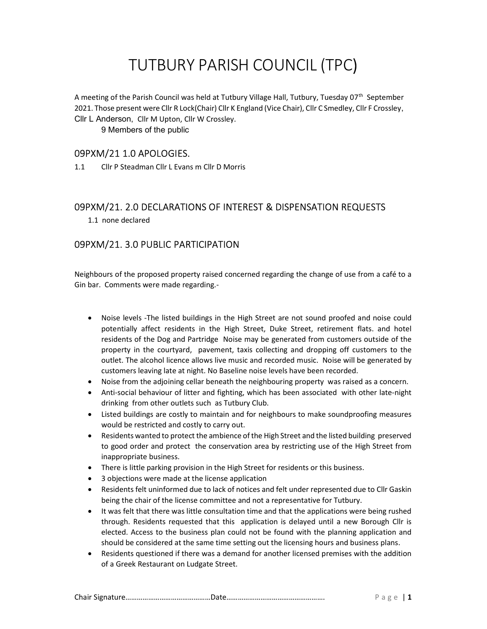# TUTBURY PARISH COUNCIL (TPC)

A meeting of the Parish Council was held at Tutbury Village Hall, Tutbury, Tuesday  $07<sup>th</sup>$  September 2021. Those present were Cllr R Lock(Chair) Cllr K England (Vice Chair), Cllr C Smedley, Cllr F Crossley, Cllr L Anderson, Cllr M Upton, Cllr W Crossley.

9 Members of the public

### 09PXM/21 1.0 APOLOGIES.

1.1 Cllr P Steadman Cllr L Evans m Cllr D Morris

# 09PXM/21. 2.0 DECLARATIONS OF INTEREST & DISPENSATION REQUESTS

1.1 none declared

# 09PXM/21. 3.0 PUBLIC PARTICIPATION

Neighbours of the proposed property raised concerned regarding the change of use from a café to a Gin bar. Comments were made regarding.-

- Noise levels -The listed buildings in the High Street are not sound proofed and noise could potentially affect residents in the High Street, Duke Street, retirement flats. and hotel residents of the Dog and Partridge Noise may be generated from customers outside of the property in the courtyard, pavement, taxis collecting and dropping off customers to the outlet. The alcohol licence allows live music and recorded music. Noise will be generated by customers leaving late at night. No Baseline noise levels have been recorded.
- Noise from the adjoining cellar beneath the neighbouring property was raised as a concern.
- Anti-social behaviour of litter and fighting, which has been associated with other late-night drinking from other outlets such as Tutbury Club.
- Listed buildings are costly to maintain and for neighbours to make soundproofing measures would be restricted and costly to carry out.
- Residents wanted to protect the ambience of the High Street and the listed building preserved to good order and protect the conservation area by restricting use of the High Street from inappropriate business.
- There is little parking provision in the High Street for residents or this business.
- 3 objections were made at the license application
- Residents felt uninformed due to lack of notices and felt under represented due to Cllr Gaskin being the chair of the license committee and not a representative for Tutbury.
- It was felt that there was little consultation time and that the applications were being rushed through. Residents requested that this application is delayed until a new Borough Cllr is elected. Access to the business plan could not be found with the planning application and should be considered at the same time setting out the licensing hours and business plans.
- Residents questioned if there was a demand for another licensed premises with the addition of a Greek Restaurant on Ludgate Street.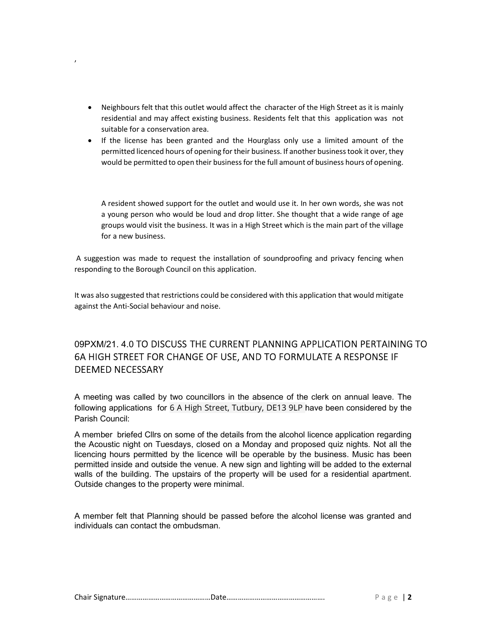• Neighbours felt that this outlet would affect the character of the High Street as it is mainly residential and may affect existing business. Residents felt that this application was not suitable for a conservation area.

,

• If the license has been granted and the Hourglass only use a limited amount of the permitted licenced hours of opening for their business. If another business took it over, they would be permitted to open their business for the full amount of business hours of opening.

A resident showed support for the outlet and would use it. In her own words, she was not a young person who would be loud and drop litter. She thought that a wide range of age groups would visit the business. It was in a High Street which is the main part of the village for a new business.

 A suggestion was made to request the installation of soundproofing and privacy fencing when responding to the Borough Council on this application.

It was also suggested that restrictions could be considered with this application that would mitigate against the Anti-Social behaviour and noise.

# 09PXM/21. 4.0 TO DISCUSS THE CURRENT PLANNING APPLICATION PERTAINING TO 6A HIGH STREET FOR CHANGE OF USE, AND TO FORMULATE A RESPONSE IF DEEMED NECESSARY

A meeting was called by two councillors in the absence of the clerk on annual leave. The following applications for 6 A High Street, Tutbury, DE13 9LP have been considered by the Parish Council:

A member briefed Cllrs on some of the details from the alcohol licence application regarding the Acoustic night on Tuesdays, closed on a Monday and proposed quiz nights. Not all the licencing hours permitted by the licence will be operable by the business. Music has been permitted inside and outside the venue. A new sign and lighting will be added to the external walls of the building. The upstairs of the property will be used for a residential apartment. Outside changes to the property were minimal.

A member felt that Planning should be passed before the alcohol license was granted and individuals can contact the ombudsman.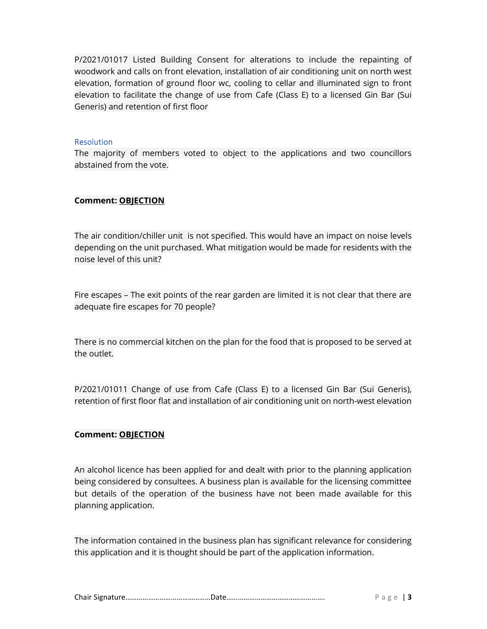P/2021/01017 Listed Building Consent for alterations to include the repainting of woodwork and calls on front elevation, installation of air conditioning unit on north west elevation, formation of ground floor wc, cooling to cellar and illuminated sign to front elevation to facilitate the change of use from Cafe (Class E) to a licensed Gin Bar (Sui Generis) and retention of first floor

#### **Resolution**

The majority of members voted to object to the applications and two councillors abstained from the vote.

#### Comment: OBJECTION

The air condition/chiller unit is not specified. This would have an impact on noise levels depending on the unit purchased. What mitigation would be made for residents with the noise level of this unit?

Fire escapes – The exit points of the rear garden are limited it is not clear that there are adequate fire escapes for 70 people?

There is no commercial kitchen on the plan for the food that is proposed to be served at the outlet.

P/2021/01011 Change of use from Cafe (Class E) to a licensed Gin Bar (Sui Generis), retention of first floor flat and installation of air conditioning unit on north-west elevation

# Comment: OBJECTION

An alcohol licence has been applied for and dealt with prior to the planning application being considered by consultees. A business plan is available for the licensing committee but details of the operation of the business have not been made available for this planning application.

The information contained in the business plan has significant relevance for considering this application and it is thought should be part of the application information.

|--|--|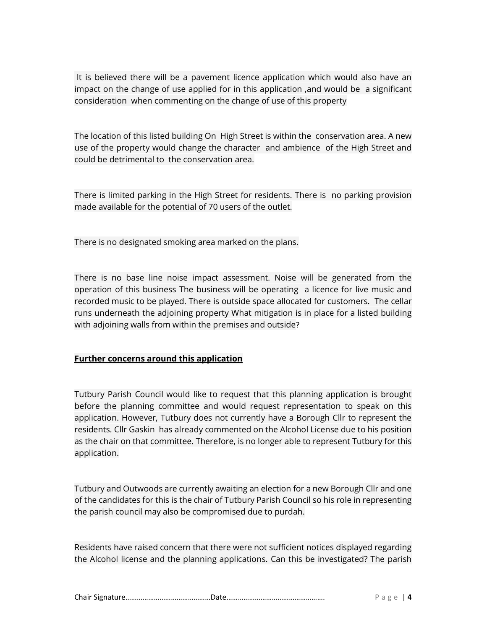It is believed there will be a pavement licence application which would also have an impact on the change of use applied for in this application ,and would be a significant consideration when commenting on the change of use of this property

The location of this listed building On High Street is within the conservation area. A new use of the property would change the character and ambience of the High Street and could be detrimental to the conservation area.

There is limited parking in the High Street for residents. There is no parking provision made available for the potential of 70 users of the outlet.

There is no designated smoking area marked on the plans.

There is no base line noise impact assessment. Noise will be generated from the operation of this business The business will be operating a licence for live music and recorded music to be played. There is outside space allocated for customers. The cellar runs underneath the adjoining property What mitigation is in place for a listed building with adjoining walls from within the premises and outside?

#### Further concerns around this application

Tutbury Parish Council would like to request that this planning application is brought before the planning committee and would request representation to speak on this application. However, Tutbury does not currently have a Borough Cllr to represent the residents. Cllr Gaskin has already commented on the Alcohol License due to his position as the chair on that committee. Therefore, is no longer able to represent Tutbury for this application.

Tutbury and Outwoods are currently awaiting an election for a new Borough Cllr and one of the candidates for this is the chair of Tutbury Parish Council so his role in representing the parish council may also be compromised due to purdah.

Residents have raised concern that there were not sufficient notices displayed regarding the Alcohol license and the planning applications. Can this be investigated? The parish

|--|--|